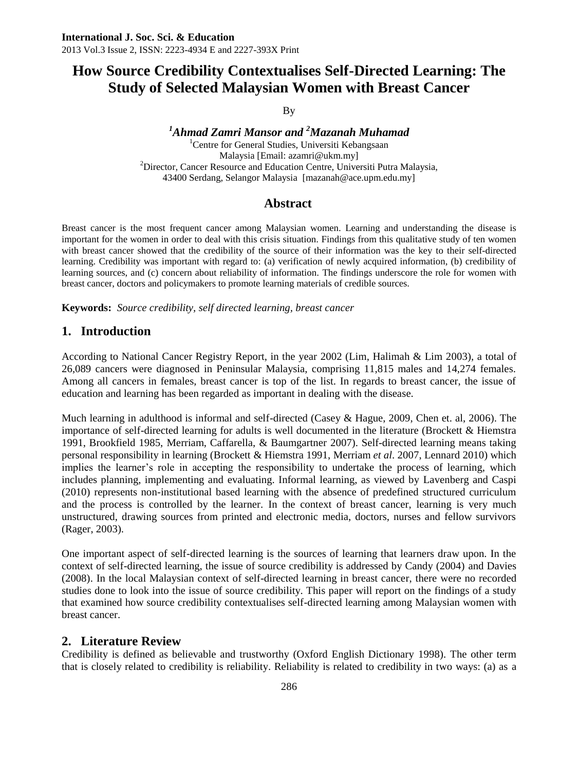By

#### *<sup>1</sup>Ahmad Zamri Mansor and <sup>2</sup>Mazanah Muhamad* <sup>1</sup>Centre for General Studies, Universiti Kebangsaan Malaysia [Email[: azamri@ukm.my\]](mailto:azamri@ukm.my)

<sup>2</sup>Director, Cancer Resource and Education Centre, Universiti Putra Malaysia, 43400 Serdang, Selangor Malaysia [mazanah@ace.upm.edu.my]

### **Abstract**

Breast cancer is the most frequent cancer among Malaysian women. Learning and understanding the disease is important for the women in order to deal with this crisis situation. Findings from this qualitative study of ten women with breast cancer showed that the credibility of the source of their information was the key to their self-directed learning. Credibility was important with regard to: (a) verification of newly acquired information, (b) credibility of learning sources, and (c) concern about reliability of information. The findings underscore the role for women with breast cancer, doctors and policymakers to promote learning materials of credible sources.

**Keywords:** *Source credibility, self directed learning, breast cancer*

### **1. Introduction**

According to National Cancer Registry Report, in the year 2002 (Lim, Halimah & Lim 2003), a total of 26,089 cancers were diagnosed in Peninsular Malaysia, comprising 11,815 males and 14,274 females. Among all cancers in females, breast cancer is top of the list. In regards to breast cancer, the issue of education and learning has been regarded as important in dealing with the disease.

Much learning in adulthood is informal and self-directed (Casey & Hague, 2009, Chen et. al, 2006). The importance of self-directed learning for adults is well documented in the literature (Brockett & Hiemstra 1991, Brookfield 1985, Merriam, Caffarella, & Baumgartner 2007). Self-directed learning means taking personal responsibility in learning (Brockett & Hiemstra 1991, Merriam *et al*. 2007, Lennard 2010) which implies the learner's role in accepting the responsibility to undertake the process of learning, which includes planning, implementing and evaluating. Informal learning, as viewed by Lavenberg and Caspi (2010) represents non-institutional based learning with the absence of predefined structured curriculum and the process is controlled by the learner. In the context of breast cancer, learning is very much unstructured, drawing sources from printed and electronic media, doctors, nurses and fellow survivors (Rager, 2003).

One important aspect of self-directed learning is the sources of learning that learners draw upon. In the context of self-directed learning, the issue of source credibility is addressed by Candy (2004) and Davies (2008). In the local Malaysian context of self-directed learning in breast cancer, there were no recorded studies done to look into the issue of source credibility. This paper will report on the findings of a study that examined how source credibility contextualises self-directed learning among Malaysian women with breast cancer.

### **2. Literature Review**

Credibility is defined as believable and trustworthy (Oxford English Dictionary 1998). The other term that is closely related to credibility is reliability. Reliability is related to credibility in two ways: (a) as a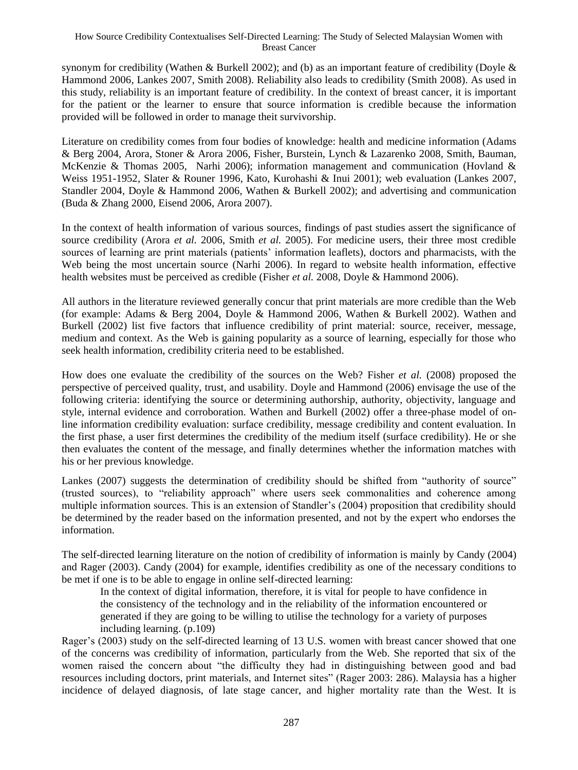synonym for credibility (Wathen & Burkell 2002); and (b) as an important feature of credibility (Doyle & Hammond 2006, Lankes 2007, Smith 2008). Reliability also leads to credibility (Smith 2008). As used in this study, reliability is an important feature of credibility. In the context of breast cancer, it is important for the patient or the learner to ensure that source information is credible because the information provided will be followed in order to manage theit survivorship.

Literature on credibility comes from four bodies of knowledge: health and medicine information (Adams & Berg 2004, Arora, Stoner & Arora 2006, Fisher, Burstein, Lynch & Lazarenko 2008, Smith, Bauman, McKenzie & Thomas 2005, Narhi 2006); information management and communication (Hovland & Weiss 1951-1952, Slater & Rouner 1996, Kato, Kurohashi & Inui 2001); web evaluation (Lankes 2007, Standler 2004, Doyle & Hammond 2006, Wathen & Burkell 2002); and advertising and communication (Buda & Zhang 2000, Eisend 2006, Arora 2007).

In the context of health information of various sources, findings of past studies assert the significance of source credibility (Arora *et al.* 2006, Smith *et al.* 2005). For medicine users, their three most credible sources of learning are print materials (patients' information leaflets), doctors and pharmacists, with the Web being the most uncertain source (Narhi 2006). In regard to website health information, effective health websites must be perceived as credible (Fisher *et al.* 2008, Doyle & Hammond 2006).

All authors in the literature reviewed generally concur that print materials are more credible than the Web (for example: Adams & Berg 2004, Doyle & Hammond 2006, Wathen & Burkell 2002). Wathen and Burkell (2002) list five factors that influence credibility of print material: source, receiver, message, medium and context. As the Web is gaining popularity as a source of learning, especially for those who seek health information, credibility criteria need to be established.

How does one evaluate the credibility of the sources on the Web? Fisher *et al.* (2008) proposed the perspective of perceived quality, trust, and usability. Doyle and Hammond (2006) envisage the use of the following criteria: identifying the source or determining authorship, authority, objectivity, language and style, internal evidence and corroboration. Wathen and Burkell (2002) offer a three-phase model of online information credibility evaluation: surface credibility, message credibility and content evaluation. In the first phase, a user first determines the credibility of the medium itself (surface credibility). He or she then evaluates the content of the message, and finally determines whether the information matches with his or her previous knowledge.

Lankes (2007) suggests the determination of credibility should be shifted from "authority of source" (trusted sources), to "reliability approach" where users seek commonalities and coherence among multiple information sources. This is an extension of Standler"s (2004) proposition that credibility should be determined by the reader based on the information presented, and not by the expert who endorses the information.

The self-directed learning literature on the notion of credibility of information is mainly by Candy (2004) and Rager (2003). Candy (2004) for example, identifies credibility as one of the necessary conditions to be met if one is to be able to engage in online self-directed learning:

In the context of digital information, therefore, it is vital for people to have confidence in the consistency of the technology and in the reliability of the information encountered or generated if they are going to be willing to utilise the technology for a variety of purposes including learning. (p.109)

Rager's (2003) study on the self-directed learning of 13 U.S. women with breast cancer showed that one of the concerns was credibility of information, particularly from the Web. She reported that six of the women raised the concern about "the difficulty they had in distinguishing between good and bad resources including doctors, print materials, and Internet sites" (Rager 2003: 286). Malaysia has a higher incidence of delayed diagnosis, of late stage cancer, and higher mortality rate than the West. It is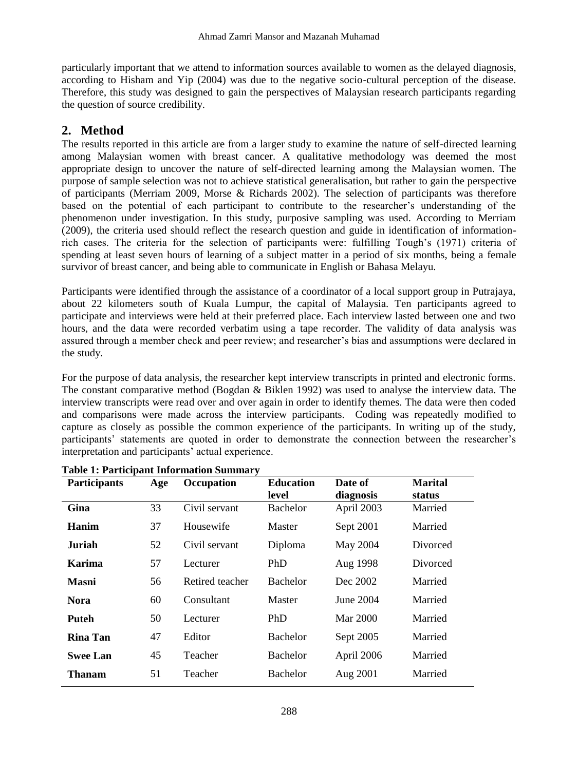particularly important that we attend to information sources available to women as the delayed diagnosis, according to Hisham and Yip (2004) was due to the negative socio-cultural perception of the disease. Therefore, this study was designed to gain the perspectives of Malaysian research participants regarding the question of source credibility.

### **2. Method**

The results reported in this article are from a larger study to examine the nature of self-directed learning among Malaysian women with breast cancer. A qualitative methodology was deemed the most appropriate design to uncover the nature of self-directed learning among the Malaysian women. The purpose of sample selection was not to achieve statistical generalisation, but rather to gain the perspective of participants (Merriam 2009, Morse & Richards 2002). The selection of participants was therefore based on the potential of each participant to contribute to the researcher"s understanding of the phenomenon under investigation. In this study, purposive sampling was used. According to Merriam (2009), the criteria used should reflect the research question and guide in identification of informationrich cases. The criteria for the selection of participants were: fulfilling Tough"s (1971) criteria of spending at least seven hours of learning of a subject matter in a period of six months, being a female survivor of breast cancer, and being able to communicate in English or Bahasa Melayu.

Participants were identified through the assistance of a coordinator of a local support group in Putrajaya, about 22 kilometers south of Kuala Lumpur, the capital of Malaysia. Ten participants agreed to participate and interviews were held at their preferred place. Each interview lasted between one and two hours, and the data were recorded verbatim using a tape recorder. The validity of data analysis was assured through a member check and peer review; and researcher"s bias and assumptions were declared in the study.

For the purpose of data analysis, the researcher kept interview transcripts in printed and electronic forms. The constant comparative method (Bogdan & Biklen 1992) was used to analyse the interview data. The interview transcripts were read over and over again in order to identify themes. The data were then coded and comparisons were made across the interview participants. Coding was repeatedly modified to capture as closely as possible the common experience of the participants. In writing up of the study, participants' statements are quoted in order to demonstrate the connection between the researcher's interpretation and participants' actual experience.

| <b>Participants</b> | Age | Occupation      | <b>Education</b><br>level | Date of<br>diagnosis | <b>Marital</b><br>status |
|---------------------|-----|-----------------|---------------------------|----------------------|--------------------------|
| Gina                | 33  | Civil servant   | <b>Bachelor</b>           | April 2003           | Married                  |
| Hanim               | 37  | Housewife       | Master                    | Sept 2001            | Married                  |
| <b>Juriah</b>       | 52  | Civil servant   | Diploma                   | May 2004             | Divorced                 |
| Karima              | 57  | Lecturer        | PhD                       | Aug 1998             | Divorced                 |
| <b>Masni</b>        | 56  | Retired teacher | <b>Bachelor</b>           | Dec 2002             | Married                  |
| <b>Nora</b>         | 60  | Consultant      | Master                    | June 2004            | Married                  |
| Puteh               | 50  | Lecturer        | PhD                       | Mar 2000             | Married                  |
| <b>Rina Tan</b>     | 47  | Editor          | <b>Bachelor</b>           | Sept 2005            | Married                  |
| <b>Swee Lan</b>     | 45  | Teacher         | <b>Bachelor</b>           | April 2006           | Married                  |
| Thanam              | 51  | Teacher         | <b>Bachelor</b>           | Aug 2001             | Married                  |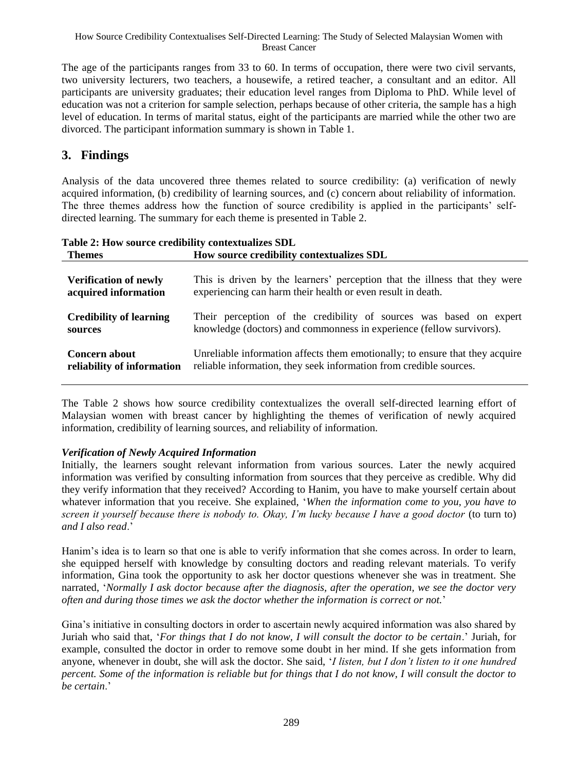The age of the participants ranges from 33 to 60. In terms of occupation, there were two civil servants, two university lecturers, two teachers, a housewife, a retired teacher, a consultant and an editor. All participants are university graduates; their education level ranges from Diploma to PhD. While level of education was not a criterion for sample selection, perhaps because of other criteria, the sample has a high level of education. In terms of marital status, eight of the participants are married while the other two are divorced. The participant information summary is shown in Table 1.

## **3. Findings**

Analysis of the data uncovered three themes related to source credibility: (a) verification of newly acquired information, (b) credibility of learning sources, and (c) concern about reliability of information. The three themes address how the function of source credibility is applied in the participants" selfdirected learning. The summary for each theme is presented in Table 2.

| <b>Themes</b>                  | How source credibility contextualizes SDL                                    |
|--------------------------------|------------------------------------------------------------------------------|
| <b>Verification of newly</b>   | This is driven by the learners' perception that the illness that they were   |
| acquired information           | experiencing can harm their health or even result in death.                  |
| <b>Credibility of learning</b> | Their perception of the credibility of sources was based on expert           |
| sources                        | knowledge (doctors) and commonness in experience (fellow survivors).         |
| <b>Concern about</b>           | Unreliable information affects them emotionally; to ensure that they acquire |
| reliability of information     | reliable information, they seek information from credible sources.           |

**Table 2: How source credibility contextualizes SDL**

The Table 2 shows how source credibility contextualizes the overall self-directed learning effort of Malaysian women with breast cancer by highlighting the themes of verification of newly acquired information, credibility of learning sources, and reliability of information.

### *Verification of Newly Acquired Information*

Initially, the learners sought relevant information from various sources. Later the newly acquired information was verified by consulting information from sources that they perceive as credible. Why did they verify information that they received? According to Hanim, you have to make yourself certain about whatever information that you receive. She explained, "*When the information come to you, you have to screen it yourself because there is nobody to. Okay, I"m lucky because I have a good doctor* (to turn to) *and I also read*."

Hanim"s idea is to learn so that one is able to verify information that she comes across. In order to learn, she equipped herself with knowledge by consulting doctors and reading relevant materials. To verify information, Gina took the opportunity to ask her doctor questions whenever she was in treatment. She narrated, "*Normally I ask doctor because after the diagnosis, after the operation, we see the doctor very often and during those times we ask the doctor whether the information is correct or not.*"

Gina"s initiative in consulting doctors in order to ascertain newly acquired information was also shared by Juriah who said that, "*For things that I do not know, I will consult the doctor to be certain*." Juriah, for example, consulted the doctor in order to remove some doubt in her mind. If she gets information from anyone, whenever in doubt, she will ask the doctor. She said, "*I listen, but I don"t listen to it one hundred percent. Some of the information is reliable but for things that I do not know, I will consult the doctor to be certain*."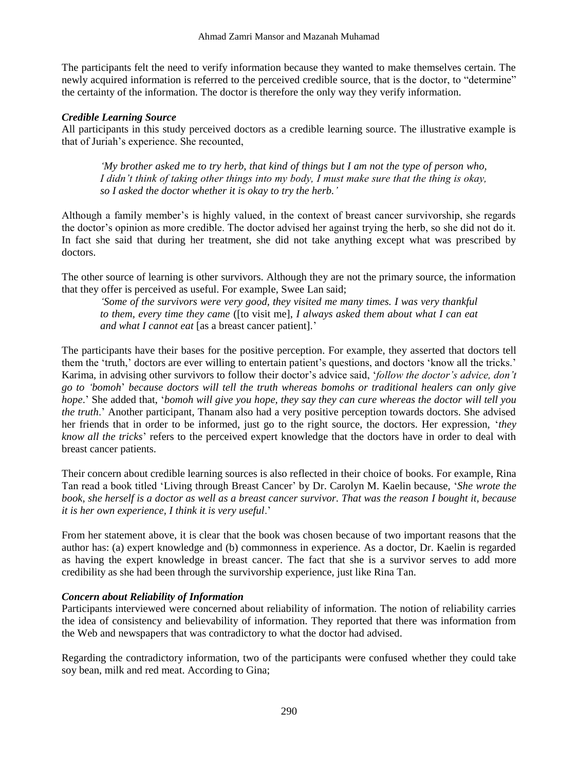The participants felt the need to verify information because they wanted to make themselves certain. The newly acquired information is referred to the perceived credible source, that is the doctor, to "determine" the certainty of the information. The doctor is therefore the only way they verify information.

#### *Credible Learning Source*

All participants in this study perceived doctors as a credible learning source. The illustrative example is that of Juriah"s experience. She recounted,

*"My brother asked me to try herb, that kind of things but I am not the type of person who, I didn"t think of taking other things into my body, I must make sure that the thing is okay, so I asked the doctor whether it is okay to try the herb."*

Although a family member"s is highly valued, in the context of breast cancer survivorship, she regards the doctor"s opinion as more credible. The doctor advised her against trying the herb, so she did not do it. In fact she said that during her treatment, she did not take anything except what was prescribed by doctors.

The other source of learning is other survivors. Although they are not the primary source, the information that they offer is perceived as useful. For example, Swee Lan said;

*"Some of the survivors were very good, they visited me many times. I was very thankful to them, every time they came* ([to visit me], *I always asked them about what I can eat and what I cannot eat* [as a breast cancer patient]."

The participants have their bases for the positive perception. For example, they asserted that doctors tell them the 'truth,' doctors are ever willing to entertain patient's questions, and doctors 'know all the tricks.' Karima, in advising other survivors to follow their doctor"s advice said, "*follow the doctor"s advice, don"t go to "bomoh*" *because doctors will tell the truth whereas bomohs or traditional healers can only give hope*." She added that, "*bomoh will give you hope, they say they can cure whereas the doctor will tell you the truth*." Another participant, Thanam also had a very positive perception towards doctors. She advised her friends that in order to be informed, just go to the right source, the doctors. Her expression, "*they know all the tricks*" refers to the perceived expert knowledge that the doctors have in order to deal with breast cancer patients.

Their concern about credible learning sources is also reflected in their choice of books. For example, Rina Tan read a book titled "Living through Breast Cancer" by Dr. Carolyn M. Kaelin because, "*She wrote the book, she herself is a doctor as well as a breast cancer survivor. That was the reason I bought it, because it is her own experience, I think it is very useful*."

From her statement above, it is clear that the book was chosen because of two important reasons that the author has: (a) expert knowledge and (b) commonness in experience. As a doctor, Dr. Kaelin is regarded as having the expert knowledge in breast cancer. The fact that she is a survivor serves to add more credibility as she had been through the survivorship experience, just like Rina Tan.

#### *Concern about Reliability of Information*

Participants interviewed were concerned about reliability of information. The notion of reliability carries the idea of consistency and believability of information. They reported that there was information from the Web and newspapers that was contradictory to what the doctor had advised.

Regarding the contradictory information, two of the participants were confused whether they could take soy bean, milk and red meat. According to Gina;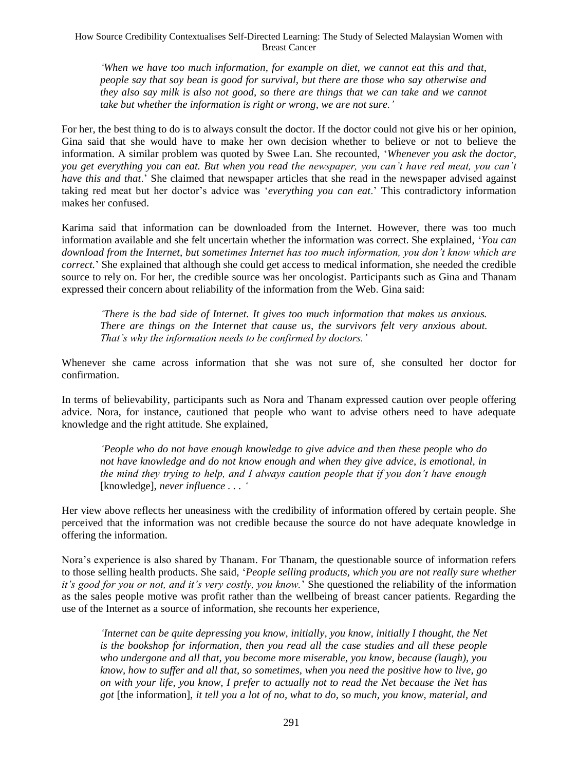*"When we have too much information, for example on diet, we cannot eat this and that, people say that soy bean is good for survival, but there are those who say otherwise and they also say milk is also not good, so there are things that we can take and we cannot take but whether the information is right or wrong, we are not sure."*

For her, the best thing to do is to always consult the doctor. If the doctor could not give his or her opinion, Gina said that she would have to make her own decision whether to believe or not to believe the information. A similar problem was quoted by Swee Lan. She recounted, "*Whenever you ask the doctor, you get everything you can eat. But when you read the newspaper, you can"t have red meat, you can"t have this and that*." She claimed that newspaper articles that she read in the newspaper advised against taking red meat but her doctor's advice was 'everything you can eat.' This contradictory information makes her confused.

Karima said that information can be downloaded from the Internet. However, there was too much information available and she felt uncertain whether the information was correct. She explained, "*You can download from the Internet, but sometimes Internet has too much information, you don"t know which are correct.*" She explained that although she could get access to medical information, she needed the credible source to rely on. For her, the credible source was her oncologist. Participants such as Gina and Thanam expressed their concern about reliability of the information from the Web. Gina said:

*"There is the bad side of Internet. It gives too much information that makes us anxious. There are things on the Internet that cause us, the survivors felt very anxious about. That"s why the information needs to be confirmed by doctors."*

Whenever she came across information that she was not sure of, she consulted her doctor for confirmation.

In terms of believability, participants such as Nora and Thanam expressed caution over people offering advice. Nora, for instance, cautioned that people who want to advise others need to have adequate knowledge and the right attitude. She explained,

*"People who do not have enough knowledge to give advice and then these people who do not have knowledge and do not know enough and when they give advice, is emotional, in the mind they trying to help, and I always caution people that if you don"t have enough*  [knowledge], *never influence . . . "*

Her view above reflects her uneasiness with the credibility of information offered by certain people. She perceived that the information was not credible because the source do not have adequate knowledge in offering the information.

Nora"s experience is also shared by Thanam. For Thanam, the questionable source of information refers to those selling health products. She said, "*People selling products, which you are not really sure whether it"s good for you or not, and it"s very costly, you know.*" She questioned the reliability of the information as the sales people motive was profit rather than the wellbeing of breast cancer patients. Regarding the use of the Internet as a source of information, she recounts her experience,

*"Internet can be quite depressing you know, initially, you know, initially I thought, the Net is the bookshop for information, then you read all the case studies and all these people who undergone and all that, you become more miserable, you know, because (laugh), you know, how to suffer and all that, so sometimes, when you need the positive how to live, go on with your life, you know, I prefer to actually not to read the Net because the Net has got* [the information], *it tell you a lot of no, what to do, so much, you know, material, and*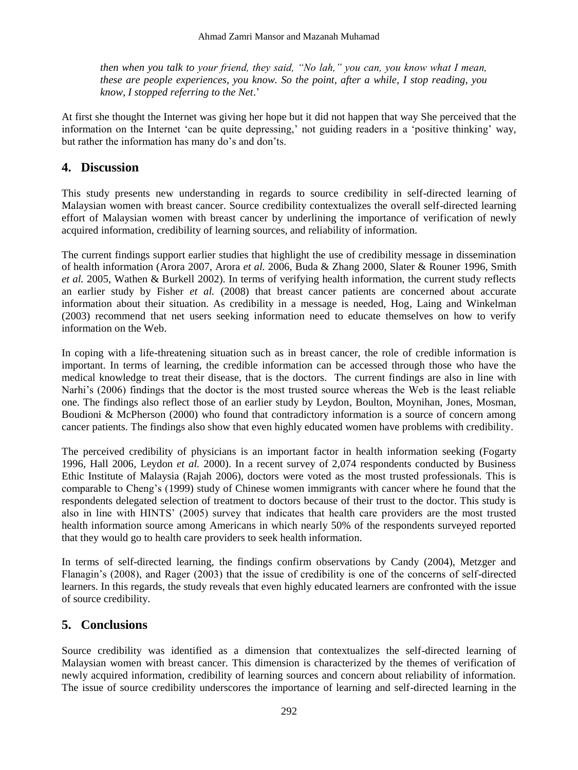*then when you talk to your friend, they said, "No lah," you can, you know what I mean, these are people experiences, you know. So the point, after a while, I stop reading, you know, I stopped referring to the Net*."

At first she thought the Internet was giving her hope but it did not happen that way She perceived that the information on the Internet "can be quite depressing," not guiding readers in a "positive thinking" way, but rather the information has many do's and don'ts.

### **4. Discussion**

This study presents new understanding in regards to source credibility in self-directed learning of Malaysian women with breast cancer. Source credibility contextualizes the overall self-directed learning effort of Malaysian women with breast cancer by underlining the importance of verification of newly acquired information, credibility of learning sources, and reliability of information.

The current findings support earlier studies that highlight the use of credibility message in dissemination of health information (Arora 2007, Arora *et al.* 2006, Buda & Zhang 2000, Slater & Rouner 1996, Smith *et al.* 2005, Wathen & Burkell 2002). In terms of verifying health information, the current study reflects an earlier study by Fisher *et al.* (2008) that breast cancer patients are concerned about accurate information about their situation. As credibility in a message is needed, Hog*,* Laing and Winkelman (2003) recommend that net users seeking information need to educate themselves on how to verify information on the Web.

In coping with a life-threatening situation such as in breast cancer, the role of credible information is important. In terms of learning, the credible information can be accessed through those who have the medical knowledge to treat their disease, that is the doctors. The current findings are also in line with Narhi's (2006) findings that the doctor is the most trusted source whereas the Web is the least reliable one. The findings also reflect those of an earlier study by Leydon, Boulton, Moynihan, Jones, Mosman, Boudioni & McPherson (2000) who found that contradictory information is a source of concern among cancer patients. The findings also show that even highly educated women have problems with credibility.

The perceived credibility of physicians is an important factor in health information seeking (Fogarty 1996, Hall 2006, Leydon *et al.* 2000). In a recent survey of 2,074 respondents conducted by Business Ethic Institute of Malaysia (Rajah 2006), doctors were voted as the most trusted professionals. This is comparable to Cheng"s (1999) study of Chinese women immigrants with cancer where he found that the respondents delegated selection of treatment to doctors because of their trust to the doctor. This study is also in line with HINTS' (2005) survey that indicates that health care providers are the most trusted health information source among Americans in which nearly 50% of the respondents surveyed reported that they would go to health care providers to seek health information.

In terms of self-directed learning, the findings confirm observations by Candy (2004), Metzger and Flanagin"s (2008), and Rager (2003) that the issue of credibility is one of the concerns of self-directed learners. In this regards, the study reveals that even highly educated learners are confronted with the issue of source credibility.

# **5. Conclusions**

Source credibility was identified as a dimension that contextualizes the self-directed learning of Malaysian women with breast cancer. This dimension is characterized by the themes of verification of newly acquired information, credibility of learning sources and concern about reliability of information. The issue of source credibility underscores the importance of learning and self-directed learning in the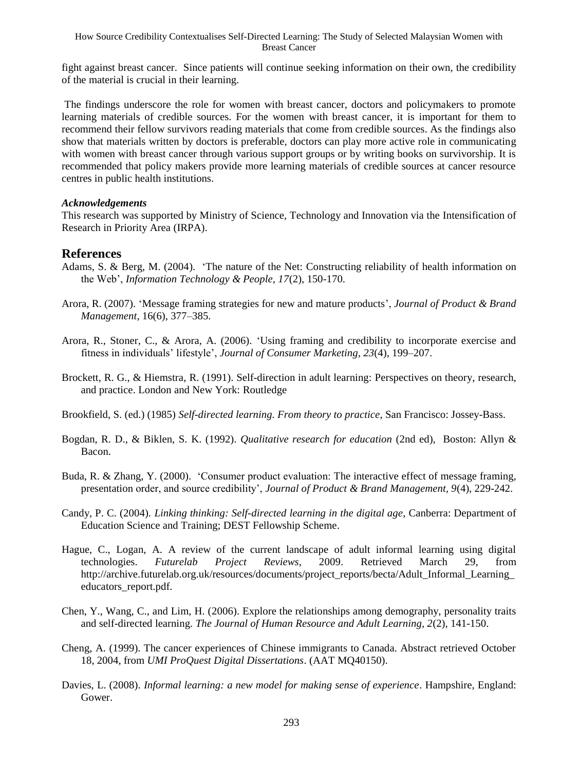fight against breast cancer. Since patients will continue seeking information on their own, the credibility of the material is crucial in their learning.

The findings underscore the role for women with breast cancer, doctors and policymakers to promote learning materials of credible sources. For the women with breast cancer, it is important for them to recommend their fellow survivors reading materials that come from credible sources. As the findings also show that materials written by doctors is preferable, doctors can play more active role in communicating with women with breast cancer through various support groups or by writing books on survivorship. It is recommended that policy makers provide more learning materials of credible sources at cancer resource centres in public health institutions.

#### *Acknowledgements*

This research was supported by Ministry of Science, Technology and Innovation via the Intensification of Research in Priority Area (IRPA).

#### **References**

- Adams, S. & Berg, M. (2004). "The nature of the Net: Constructing reliability of health information on the Web", *Information Technology & People, 17*(2), 150-170.
- Arora, R. (2007). "Message framing strategies for new and mature products", *Journal of Product & Brand Management*, 16(6), 377–385.
- Arora, R., Stoner, C., & Arora, A. (2006). "Using framing and credibility to incorporate exercise and fitness in individuals" lifestyle", *Journal of Consumer Marketing, 23*(4), 199–207.
- Brockett, R. G., & Hiemstra, R. (1991). Self-direction in adult learning: Perspectives on theory, research, and practice. London and New York: Routledge
- Brookfield, S. (ed.) (1985) *Self-directed learning. From theory to practice*, San Francisco: Jossey-Bass.
- Bogdan, R. D., & Biklen, S. K. (1992). *Qualitative research for education* (2nd ed), Boston: Allyn & Bacon.
- Buda, R. & Zhang, Y. (2000). "Consumer product evaluation: The interactive effect of message framing, presentation order, and source credibility", *Journal of Product & Brand Management, 9*(4), 229-242.
- Candy, P. C. (2004). *Linking thinking: Self-directed learning in the digital age*, Canberra: Department of Education Science and Training; DEST Fellowship Scheme.
- Hague, C., Logan, A. A review of the current landscape of adult informal learning using digital technologies. *Futurelab Project Reviews*, 2009. Retrieved March 29, from http://archive.futurelab.org.uk/resources/documents/project\_reports/becta/Adult\_Informal\_Learning\_ educators\_report.pdf.
- Chen, Y., Wang, C., and Lim, H. (2006). Explore the relationships among demography, personality traits and self-directed learning. *The Journal of Human Resource and Adult Learning, 2*(2), 141-150.
- Cheng, A. (1999). The cancer experiences of Chinese immigrants to Canada. Abstract retrieved October 18, 2004, from *UMI ProQuest Digital Dissertations*. (AAT MQ40150).
- Davies, L. (2008). *Informal learning: a new model for making sense of experience*. Hampshire, England: Gower.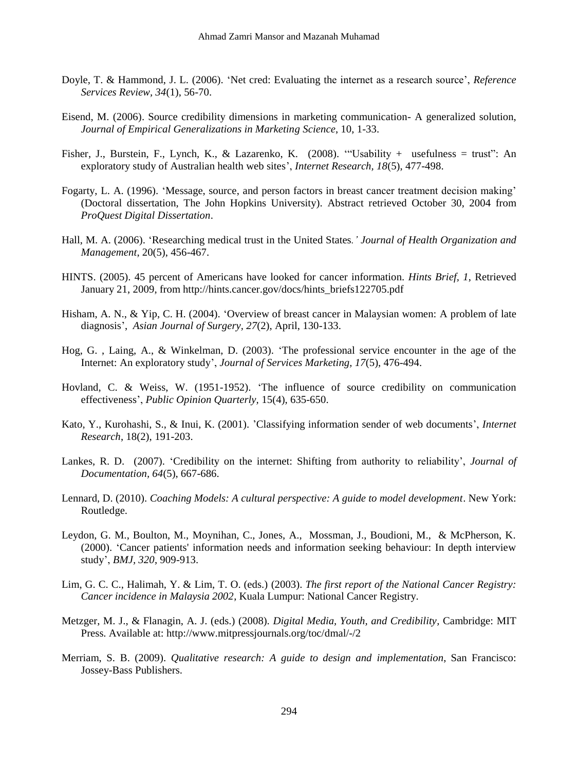- Doyle, T. & Hammond, J. L. (2006). 'Net cred: Evaluating the internet as a research source', *Reference Services Review, 34*(1), 56-70.
- Eisend, M. (2006). Source credibility dimensions in marketing communication- A generalized solution, *Journal of Empirical Generalizations in Marketing Science*, 10, 1-33.
- Fisher, J., Burstein, F., Lynch, K., & Lazarenko, K. (2008). ""Usability + usefulness = trust": An exploratory study of Australian health web sites", *Internet Research, 18*(5), 477-498.
- Fogarty, L. A. (1996). "Message, source, and person factors in breast cancer treatment decision making" (Doctoral dissertation, The John Hopkins University). Abstract retrieved October 30, 2004 from *ProQuest Digital Dissertation*.
- Hall, M. A. (2006). "Researching medical trust in the United States*." Journal of Health Organization and Management*, 20(5), 456-467.
- HINTS. (2005). 45 percent of Americans have looked for cancer information. *Hints Brief, 1*, Retrieved January 21, 2009, from http://hints.cancer.gov/docs/hints\_briefs122705.pdf
- Hisham, A. N., & Yip, C. H. (2004). "Overview of breast cancer in Malaysian women: A problem of late diagnosis", *Asian Journal of Surgery, 27*(2), April, 130-133.
- Hog, G. , Laing, A., & Winkelman, D. (2003). "The professional service encounter in the age of the Internet: An exploratory study", *Journal of Services Marketing, 17*(5), 476-494.
- Hovland, C. & Weiss, W. (1951-1952). "The influence of source credibility on communication effectiveness", *Public Opinion Quarterly,* 15(4), 635-650.
- Kato, Y., Kurohashi, S., & Inui, K. (2001). "Classifying information sender of web documents", *Internet Research*, 18(2), 191-203.
- Lankes, R. D. (2007). "Credibility on the internet: Shifting from authority to reliability", *Journal of Documentation, 64*(5), 667-686.
- Lennard, D. (2010). *Coaching Models: A cultural perspective: A guide to model development*. New York: Routledge.
- Leydon, G. M., Boulton, M., Moynihan, C., Jones, A., Mossman, J., Boudioni, M., & McPherson, K. (2000). "Cancer patients' information needs and information seeking behaviour: In depth interview study", *BMJ, 320*, 909-913.
- Lim, G. C. C., Halimah, Y. & Lim, T. O. (eds.) (2003). *The first report of the National Cancer Registry: Cancer incidence in Malaysia 2002*, Kuala Lumpur: National Cancer Registry.
- Metzger, M. J., & Flanagin, A. J. (eds.) (2008). *Digital Media, Youth, and Credibility,* Cambridge: MIT Press. Available at: [http://www.mitpressjournals.org/toc/d](http://www.mitpressjournals.org/toc/)mal/-/2
- Merriam, S. B. (2009). *Qualitative research: A guide to design and implementation*, San Francisco: Jossey-Bass Publishers.